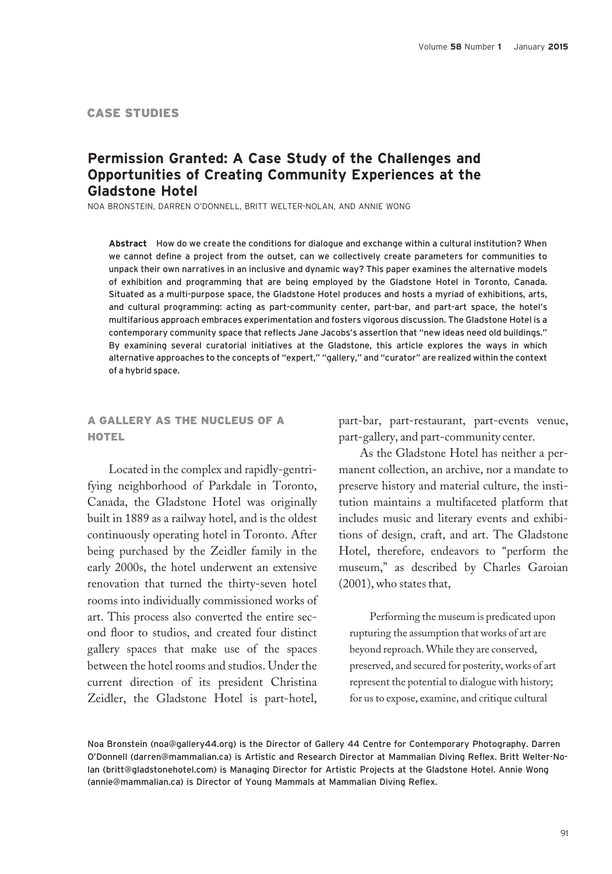### CASE STUDIES

## Permission Granted: A Case Study of the Challenges and Opportunities of Creating Community Experiences at the Gladstone Hotel

NOA BRONSTEIN, DARREN O'DONNELL, BRITT WELTER-NOLAN, AND ANNIE WONG

Abstract How do we create the conditions for dialogue and exchange within a cultural institution? When we cannot define a project from the outset, can we collectively create parameters for communities to unpack their own narratives in an inclusive and dynamic way? This paper examines the alternative models of exhibition and programming that are being employed by the Gladstone Hotel in Toronto, Canada. Situated as a multi-purpose space, the Gladstone Hotel produces and hosts a myriad of exhibitions, arts, and cultural programming: acting as part-community center, part-bar, and part-art space, the hotel's multifarious approach embraces experimentation and fosters vigorous discussion. The Gladstone Hotel is a contemporary community space that reflects Jane Jacobs's assertion that "new ideas need old buildings." By examining several curatorial initiatives at the Gladstone, this article explores the ways in which alternative approaches to the concepts of "expert," "gallery," and "curator" are realized within the context of a hybrid space.

### A GALLERY AS THE NUCLEUS OF A **HOTEL**

Located in the complex and rapidly-gentrifying neighborhood of Parkdale in Toronto, Canada, the Gladstone Hotel was originally built in 1889 as a railway hotel, and is the oldest continuously operating hotel in Toronto. After being purchased by the Zeidler family in the early 2000s, the hotel underwent an extensive renovation that turned the thirty-seven hotel rooms into individually commissioned works of art. This process also converted the entire second floor to studios, and created four distinct gallery spaces that make use of the spaces between the hotel rooms and studios. Under the current direction of its president Christina Zeidler, the Gladstone Hotel is part-hotel,

part-bar, part-restaurant, part-events venue, part-gallery, and part-community center.

As the Gladstone Hotel has neither a permanent collection, an archive, nor a mandate to preserve history and material culture, the institution maintains a multifaceted platform that includes music and literary events and exhibitions of design, craft, and art. The Gladstone Hotel, therefore, endeavors to "perform the museum," as described by Charles Garoian (2001), who states that,

Performing the museum is predicated upon rupturing the assumption that works of art are beyond reproach. While they are conserved, preserved, and secured for posterity, works of art represent the potential to dialogue with history; for us to expose, examine, and critique cultural

Noa Bronstein (noa@gallery44.org) is the Director of Gallery 44 Centre for Contemporary Photography. Darren O'Donnell (darren@mammalian.ca) is Artistic and Research Director at Mammalian Diving Reflex. Britt Welter-Nolan (britt@gladstonehotel.com) is Managing Director for Artistic Projects at the Gladstone Hotel. Annie Wong (annie@mammalian.ca) is Director of Young Mammals at Mammalian Diving Reflex.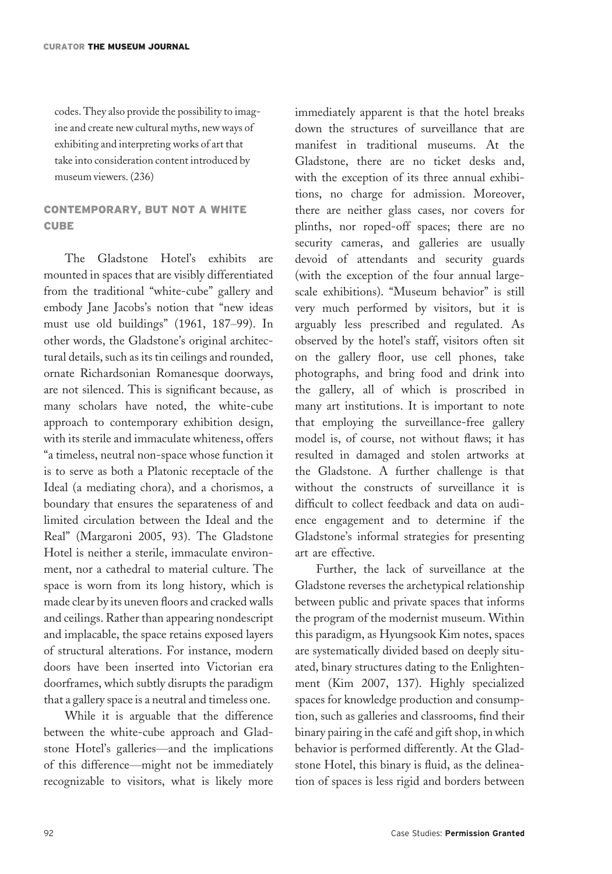codes. They also provide the possibility to imagine and create new cultural myths, new ways of exhibiting and interpreting works of art that take into consideration content introduced by museum viewers. (236)

## CONTEMPORARY, BUT NOT A WHITE CUBE

The Gladstone Hotel's exhibits are mounted in spaces that are visibly differentiated from the traditional "white-cube" gallery and embody Jane Jacobs's notion that "new ideas must use old buildings" (1961, 187–99). In other words, the Gladstone's original architectural details, such as its tin ceilings and rounded, ornate Richardsonian Romanesque doorways, are not silenced. This is significant because, as many scholars have noted, the white-cube approach to contemporary exhibition design, with its sterile and immaculate whiteness, offers "a timeless, neutral non-space whose function it is to serve as both a Platonic receptacle of the Ideal (a mediating chora), and a chorismos, a boundary that ensures the separateness of and limited circulation between the Ideal and the Real" (Margaroni 2005, 93). The Gladstone Hotel is neither a sterile, immaculate environment, nor a cathedral to material culture. The space is worn from its long history, which is made clear by its uneven floors and cracked walls and ceilings. Rather than appearing nondescript and implacable, the space retains exposed layers of structural alterations. For instance, modern doors have been inserted into Victorian era doorframes, which subtly disrupts the paradigm that a gallery space is a neutral and timeless one.

While it is arguable that the difference between the white-cube approach and Gladstone Hotel's galleries—and the implications of this difference—might not be immediately recognizable to visitors, what is likely more immediately apparent is that the hotel breaks down the structures of surveillance that are manifest in traditional museums. At the Gladstone, there are no ticket desks and, with the exception of its three annual exhibitions, no charge for admission. Moreover, there are neither glass cases, nor covers for plinths, nor roped-off spaces; there are no security cameras, and galleries are usually devoid of attendants and security guards (with the exception of the four annual largescale exhibitions). "Museum behavior" is still very much performed by visitors, but it is arguably less prescribed and regulated. As observed by the hotel's staff, visitors often sit on the gallery floor, use cell phones, take photographs, and bring food and drink into the gallery, all of which is proscribed in many art institutions. It is important to note that employing the surveillance-free gallery model is, of course, not without flaws; it has resulted in damaged and stolen artworks at the Gladstone. A further challenge is that without the constructs of surveillance it is difficult to collect feedback and data on audience engagement and to determine if the Gladstone's informal strategies for presenting art are effective.

Further, the lack of surveillance at the Gladstone reverses the archetypical relationship between public and private spaces that informs the program of the modernist museum. Within this paradigm, as Hyungsook Kim notes, spaces are systematically divided based on deeply situated, binary structures dating to the Enlightenment (Kim 2007, 137). Highly specialized spaces for knowledge production and consumption, such as galleries and classrooms, find their binary pairing in the cafe and gift shop, in which behavior is performed differently. At the Gladstone Hotel, this binary is fluid, as the delineation of spaces is less rigid and borders between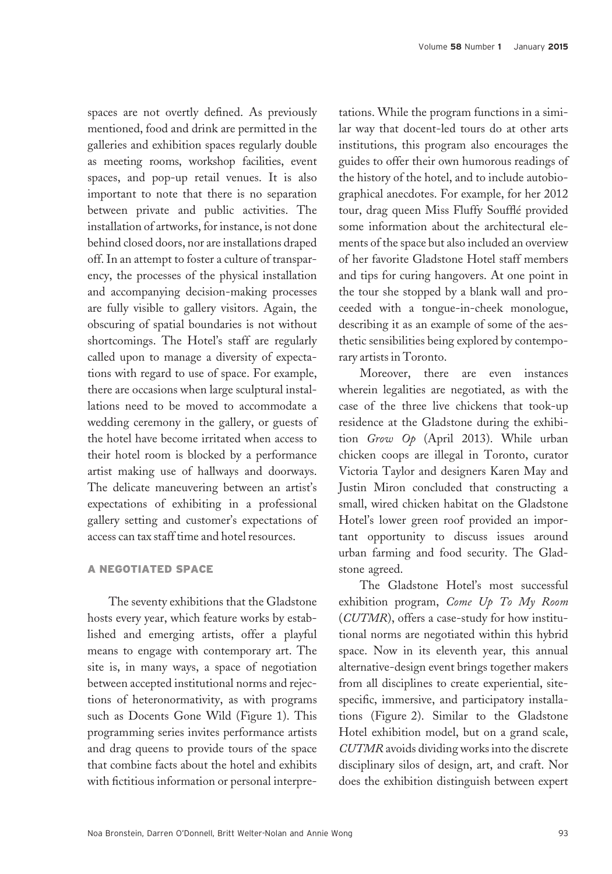spaces are not overtly defined. As previously mentioned, food and drink are permitted in the galleries and exhibition spaces regularly double as meeting rooms, workshop facilities, event spaces, and pop-up retail venues. It is also important to note that there is no separation between private and public activities. The installation of artworks, for instance, is not done behind closed doors, nor are installations draped off. In an attempt to foster a culture of transparency, the processes of the physical installation and accompanying decision-making processes are fully visible to gallery visitors. Again, the obscuring of spatial boundaries is not without shortcomings. The Hotel's staff are regularly called upon to manage a diversity of expectations with regard to use of space. For example, there are occasions when large sculptural installations need to be moved to accommodate a wedding ceremony in the gallery, or guests of the hotel have become irritated when access to their hotel room is blocked by a performance artist making use of hallways and doorways. The delicate maneuvering between an artist's expectations of exhibiting in a professional gallery setting and customer's expectations of access can tax staff time and hotel resources.

#### A NEGOTIATED SPACE

The seventy exhibitions that the Gladstone hosts every year, which feature works by established and emerging artists, offer a playful means to engage with contemporary art. The site is, in many ways, a space of negotiation between accepted institutional norms and rejections of heteronormativity, as with programs such as Docents Gone Wild (Figure 1). This programming series invites performance artists and drag queens to provide tours of the space that combine facts about the hotel and exhibits with fictitious information or personal interpretations. While the program functions in a similar way that docent-led tours do at other arts institutions, this program also encourages the guides to offer their own humorous readings of the history of the hotel, and to include autobiographical anecdotes. For example, for her 2012 tour, drag queen Miss Fluffy Souffle provided some information about the architectural elements of the space but also included an overview of her favorite Gladstone Hotel staff members and tips for curing hangovers. At one point in the tour she stopped by a blank wall and proceeded with a tongue-in-cheek monologue, describing it as an example of some of the aesthetic sensibilities being explored by contemporary artists in Toronto.

Moreover, there are even instances wherein legalities are negotiated, as with the case of the three live chickens that took-up residence at the Gladstone during the exhibition Grow Op (April 2013). While urban chicken coops are illegal in Toronto, curator Victoria Taylor and designers Karen May and Justin Miron concluded that constructing a small, wired chicken habitat on the Gladstone Hotel's lower green roof provided an important opportunity to discuss issues around urban farming and food security. The Gladstone agreed.

The Gladstone Hotel's most successful exhibition program, Come Up To My Room (CUTMR), offers a case-study for how institutional norms are negotiated within this hybrid space. Now in its eleventh year, this annual alternative-design event brings together makers from all disciplines to create experiential, sitespecific, immersive, and participatory installations (Figure 2). Similar to the Gladstone Hotel exhibition model, but on a grand scale, CUTMR avoids dividing works into the discrete disciplinary silos of design, art, and craft. Nor does the exhibition distinguish between expert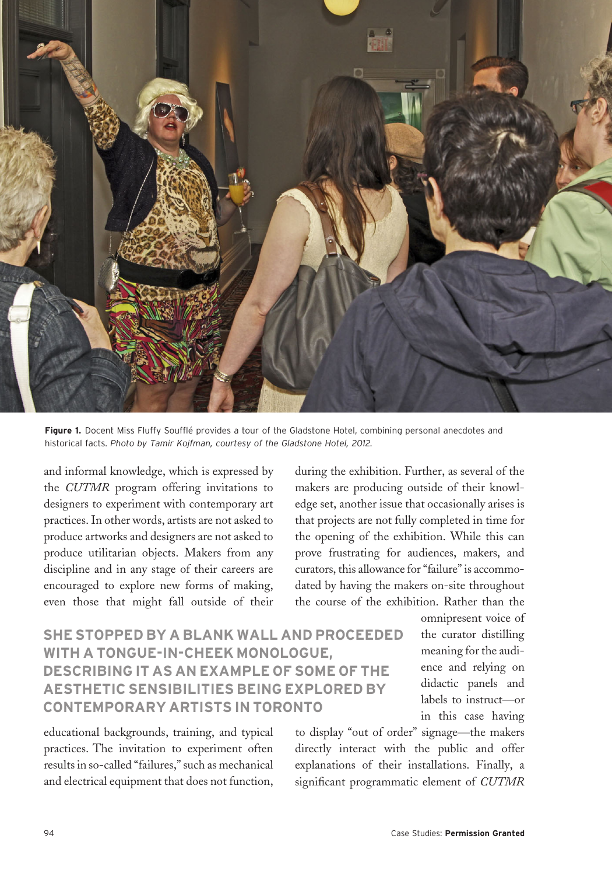

Figure 1. Docent Miss Fluffy Soufflé provides a tour of the Gladstone Hotel, combining personal anecdotes and historical facts. Photo by Tamir Kojfman, courtesy of the Gladstone Hotel, 2012.

and informal knowledge, which is expressed by the CUTMR program offering invitations to designers to experiment with contemporary art practices. In other words, artists are not asked to produce artworks and designers are not asked to produce utilitarian objects. Makers from any discipline and in any stage of their careers are encouraged to explore new forms of making, even those that might fall outside of their

during the exhibition. Further, as several of the makers are producing outside of their knowledge set, another issue that occasionally arises is that projects are not fully completed in time for the opening of the exhibition. While this can prove frustrating for audiences, makers, and curators, this allowance for "failure" is accommodated by having the makers on-site throughout the course of the exhibition. Rather than the

SHE STOPPED BY A BLANK WALL AND PROCEEDED WITH A TONGUE-IN-CHEEK MONOLOGUE, DESCRIBING IT AS AN EXAMPLE OF SOME OF THE AESTHETIC SENSIBILITIES BEING EXPLORED BY CONTEMPORARY ARTISTS IN TORONTO

educational backgrounds, training, and typical practices. The invitation to experiment often results in so-called "failures," such as mechanical and electrical equipment that does not function, omnipresent voice of the curator distilling meaning for the audience and relying on didactic panels and labels to instruct—or in this case having

to display "out of order" signage—the makers directly interact with the public and offer explanations of their installations. Finally, a significant programmatic element of CUTMR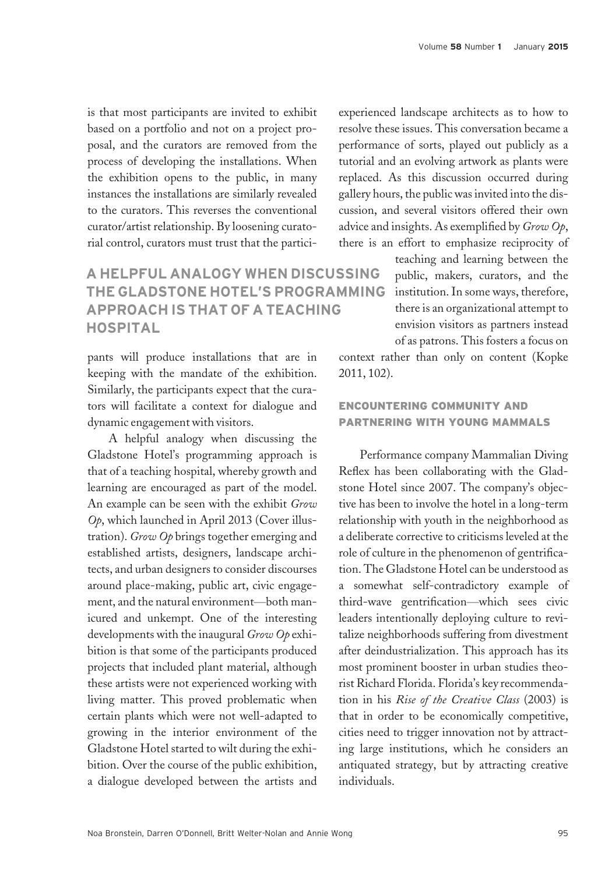is that most participants are invited to exhibit based on a portfolio and not on a project proposal, and the curators are removed from the process of developing the installations. When the exhibition opens to the public, in many instances the installations are similarly revealed to the curators. This reverses the conventional curator/artist relationship. By loosening curatorial control, curators must trust that the partici-

## A HELPFUL ANALOGY WHEN DISCUSSING THE GLADSTONE HOTEL'S PROGRAMMING APPROACH IS THAT OF A TEACHING HOSPITAL

pants will produce installations that are in keeping with the mandate of the exhibition. Similarly, the participants expect that the curators will facilitate a context for dialogue and dynamic engagement with visitors.

A helpful analogy when discussing the Gladstone Hotel's programming approach is that of a teaching hospital, whereby growth and learning are encouraged as part of the model. An example can be seen with the exhibit Grow Op, which launched in April 2013 (Cover illustration). Grow Op brings together emerging and established artists, designers, landscape architects, and urban designers to consider discourses around place-making, public art, civic engagement, and the natural environment—both manicured and unkempt. One of the interesting developments with the inaugural Grow Op exhibition is that some of the participants produced projects that included plant material, although these artists were not experienced working with living matter. This proved problematic when certain plants which were not well-adapted to growing in the interior environment of the Gladstone Hotel started to wilt during the exhibition. Over the course of the public exhibition, a dialogue developed between the artists and

experienced landscape architects as to how to resolve these issues. This conversation became a performance of sorts, played out publicly as a tutorial and an evolving artwork as plants were replaced. As this discussion occurred during gallery hours, the public was invited into the discussion, and several visitors offered their own advice and insights. As exemplified by  $Grow$   $Op$ , there is an effort to emphasize reciprocity of

> teaching and learning between the public, makers, curators, and the institution. In some ways, therefore, there is an organizational attempt to envision visitors as partners instead of as patrons. This fosters a focus on

context rather than only on content (Kopke 2011, 102).

## ENCOUNTERING COMMUNITY AND PARTNERING WITH YOUNG MAMMALS

Performance company Mammalian Diving Reflex has been collaborating with the Gladstone Hotel since 2007. The company's objective has been to involve the hotel in a long-term relationship with youth in the neighborhood as a deliberate corrective to criticisms leveled at the role of culture in the phenomenon of gentrification. The Gladstone Hotel can be understood as a somewhat self-contradictory example of third-wave gentrification—which sees civic leaders intentionally deploying culture to revitalize neighborhoods suffering from divestment after deindustrialization. This approach has its most prominent booster in urban studies theorist Richard Florida. Florida's key recommendation in his Rise of the Creative Class (2003) is that in order to be economically competitive, cities need to trigger innovation not by attracting large institutions, which he considers an antiquated strategy, but by attracting creative individuals.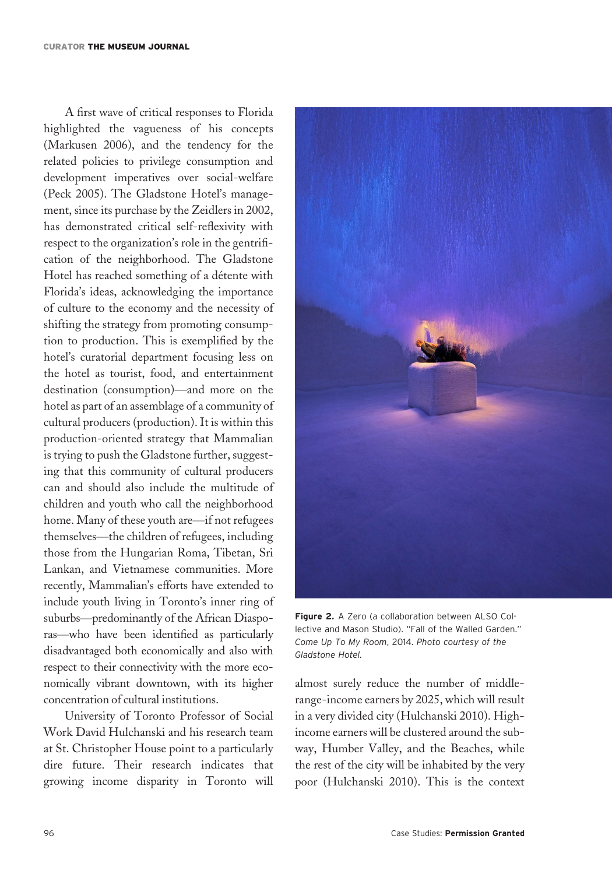A first wave of critical responses to Florida highlighted the vagueness of his concepts (Markusen 2006), and the tendency for the related policies to privilege consumption and development imperatives over social-welfare (Peck 2005). The Gladstone Hotel's management, since its purchase by the Zeidlers in 2002, has demonstrated critical self-reflexivity with respect to the organization's role in the gentrification of the neighborhood. The Gladstone Hotel has reached something of a detente with Florida's ideas, acknowledging the importance of culture to the economy and the necessity of shifting the strategy from promoting consumption to production. This is exemplified by the hotel's curatorial department focusing less on the hotel as tourist, food, and entertainment destination (consumption)—and more on the hotel as part of an assemblage of a community of cultural producers (production). It is within this production-oriented strategy that Mammalian is trying to push the Gladstone further, suggesting that this community of cultural producers can and should also include the multitude of children and youth who call the neighborhood home. Many of these youth are—if not refugees themselves—the children of refugees, including those from the Hungarian Roma, Tibetan, Sri Lankan, and Vietnamese communities. More recently, Mammalian's efforts have extended to include youth living in Toronto's inner ring of suburbs—predominantly of the African Diasporas—who have been identified as particularly disadvantaged both economically and also with respect to their connectivity with the more economically vibrant downtown, with its higher concentration of cultural institutions.

University of Toronto Professor of Social Work David Hulchanski and his research team at St. Christopher House point to a particularly dire future. Their research indicates that growing income disparity in Toronto will



Figure 2. A Zero (a collaboration between ALSO Collective and Mason Studio). "Fall of the Walled Garden." Come Up To My Room, 2014. Photo courtesy of the Gladstone Hotel.

almost surely reduce the number of middlerange-income earners by 2025, which will result in a very divided city (Hulchanski 2010). Highincome earners will be clustered around the subway, Humber Valley, and the Beaches, while the rest of the city will be inhabited by the very poor (Hulchanski 2010). This is the context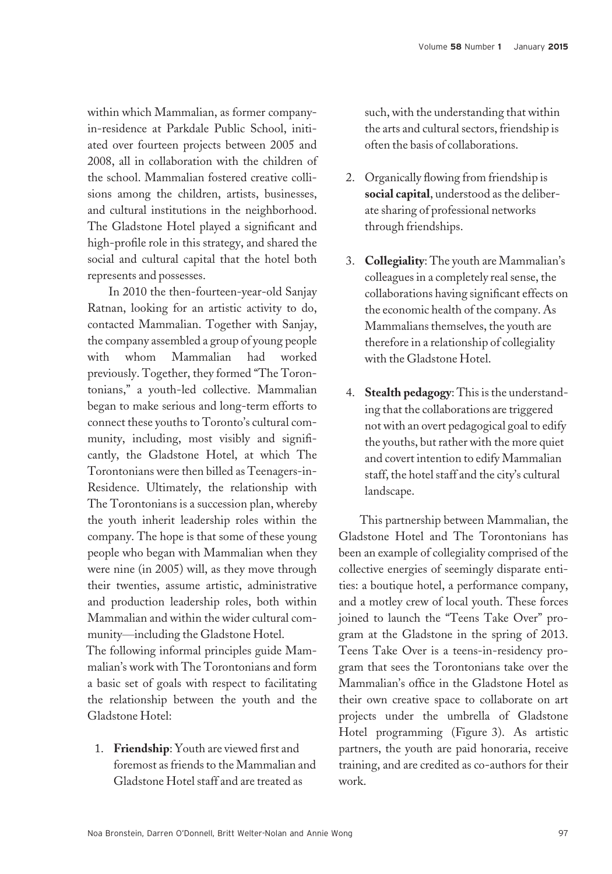within which Mammalian, as former companyin-residence at Parkdale Public School, initiated over fourteen projects between 2005 and 2008, all in collaboration with the children of the school. Mammalian fostered creative collisions among the children, artists, businesses, and cultural institutions in the neighborhood. The Gladstone Hotel played a significant and high-profile role in this strategy, and shared the social and cultural capital that the hotel both represents and possesses.

In 2010 the then-fourteen-year-old Sanjay Ratnan, looking for an artistic activity to do, contacted Mammalian. Together with Sanjay, the company assembled a group of young people with whom Mammalian had worked previously. Together, they formed "The Torontonians," a youth-led collective. Mammalian began to make serious and long-term efforts to connect these youths to Toronto's cultural community, including, most visibly and significantly, the Gladstone Hotel, at which The Torontonians were then billed as Teenagers-in-Residence. Ultimately, the relationship with The Torontonians is a succession plan, whereby the youth inherit leadership roles within the company. The hope is that some of these young people who began with Mammalian when they were nine (in 2005) will, as they move through their twenties, assume artistic, administrative and production leadership roles, both within Mammalian and within the wider cultural community—including the Gladstone Hotel. The following informal principles guide Mam-

malian's work with The Torontonians and form a basic set of goals with respect to facilitating the relationship between the youth and the Gladstone Hotel:

1. Friendship: Youth are viewed first and foremost as friends to the Mammalian and Gladstone Hotel staff and are treated as

such, with the understanding that within the arts and cultural sectors, friendship is often the basis of collaborations.

- 2. Organically flowing from friendship is social capital, understood as the deliberate sharing of professional networks through friendships.
- 3. Collegiality: The youth are Mammalian's colleagues in a completely real sense, the collaborations having significant effects on the economic health of the company. As Mammalians themselves, the youth are therefore in a relationship of collegiality with the Gladstone Hotel.
- 4. Stealth pedagogy: This is the understanding that the collaborations are triggered not with an overt pedagogical goal to edify the youths, but rather with the more quiet and covert intention to edify Mammalian staff, the hotel staff and the city's cultural landscape.

This partnership between Mammalian, the Gladstone Hotel and The Torontonians has been an example of collegiality comprised of the collective energies of seemingly disparate entities: a boutique hotel, a performance company, and a motley crew of local youth. These forces joined to launch the "Teens Take Over" program at the Gladstone in the spring of 2013. Teens Take Over is a teens-in-residency program that sees the Torontonians take over the Mammalian's office in the Gladstone Hotel as their own creative space to collaborate on art projects under the umbrella of Gladstone Hotel programming (Figure 3). As artistic partners, the youth are paid honoraria, receive training, and are credited as co-authors for their work.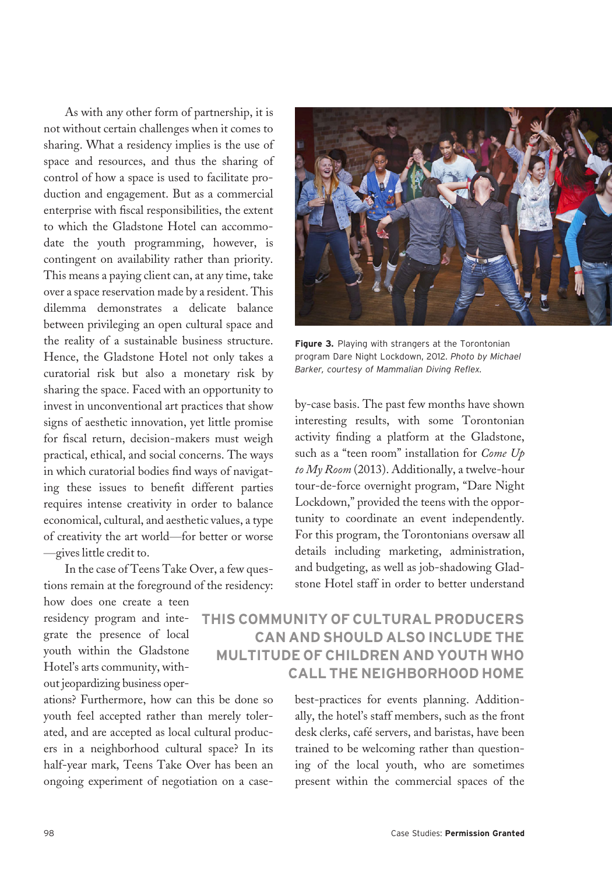As with any other form of partnership, it is not without certain challenges when it comes to sharing. What a residency implies is the use of space and resources, and thus the sharing of control of how a space is used to facilitate production and engagement. But as a commercial enterprise with fiscal responsibilities, the extent to which the Gladstone Hotel can accommodate the youth programming, however, is contingent on availability rather than priority. This means a paying client can, at any time, take over a space reservation made by a resident. This dilemma demonstrates a delicate balance between privileging an open cultural space and the reality of a sustainable business structure. Hence, the Gladstone Hotel not only takes a curatorial risk but also a monetary risk by sharing the space. Faced with an opportunity to invest in unconventional art practices that show signs of aesthetic innovation, yet little promise for fiscal return, decision-makers must weigh practical, ethical, and social concerns. The ways in which curatorial bodies find ways of navigating these issues to benefit different parties requires intense creativity in order to balance economical, cultural, and aesthetic values, a type of creativity the art world—for better or worse —gives little credit to.

In the case of Teens Take Over, a few questions remain at the foreground of the residency:

how does one create a teen residency program and integrate the presence of local youth within the Gladstone Hotel's arts community, without jeopardizing business oper-

ations? Furthermore, how can this be done so youth feel accepted rather than merely tolerated, and are accepted as local cultural producers in a neighborhood cultural space? In its half-year mark, Teens Take Over has been an ongoing experiment of negotiation on a case-



Figure 3. Playing with strangers at the Torontonian program Dare Night Lockdown, 2012. Photo by Michael Barker, courtesy of Mammalian Diving Reflex.

by-case basis. The past few months have shown interesting results, with some Torontonian activity finding a platform at the Gladstone, such as a "teen room" installation for *Come Up* to My Room (2013). Additionally, a twelve-hour tour-de-force overnight program, "Dare Night Lockdown," provided the teens with the opportunity to coordinate an event independently. For this program, the Torontonians oversaw all details including marketing, administration, and budgeting, as well as job-shadowing Gladstone Hotel staff in order to better understand

# THIS COMMUNITY OF CULTURAL PRODUCERS CAN AND SHOULD ALSO INCLUDE THE MULTITUDE OF CHILDREN AND YOUTH WHO CALL THE NEIGHBORHOOD HOME

best-practices for events planning. Additionally, the hotel's staff members, such as the front desk clerks, café servers, and baristas, have been trained to be welcoming rather than questioning of the local youth, who are sometimes present within the commercial spaces of the